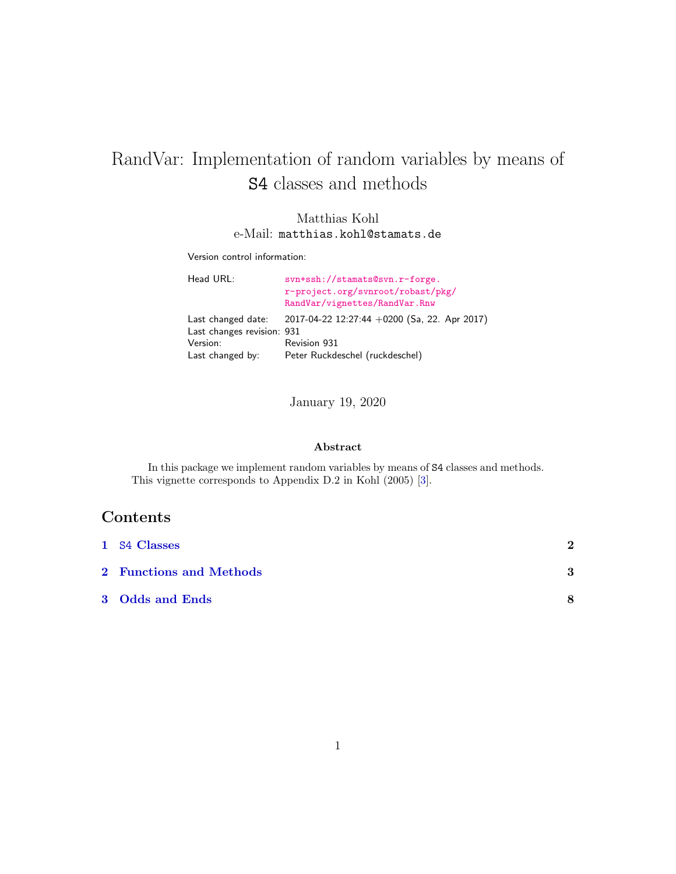# <span id="page-0-0"></span>RandVar: Implementation of random variables by means of S4 classes and methods

#### Matthias Kohl e-Mail: matthias.kohl@stamats.de

Version control information:

| Head URL:                                        | svn+ssh://stamats@svn.r-forge.<br>r-project.org/svnroot/robast/pkg/<br>RandVar/vignettes/RandVar.Rnw |
|--------------------------------------------------|------------------------------------------------------------------------------------------------------|
| Last changed date:<br>Last changes revision: 931 | 2017-04-22 12:27:44 +0200 (Sa, 22. Apr 2017)                                                         |
| Version:                                         | Revision 931                                                                                         |
| Last changed by:                                 | Peter Ruckdeschel (ruckdeschel)                                                                      |

January 19, 2020

#### Abstract

In this package we implement random variables by means of S4 classes and methods. This vignette corresponds to Appendix D.2 in Kohl (2005) [\[3\]](#page-8-0).

# Contents

| 1 S4 Classes            | $\mathbf 2$ |
|-------------------------|-------------|
| 2 Functions and Methods | 3           |
| 3 Odds and Ends         | 8           |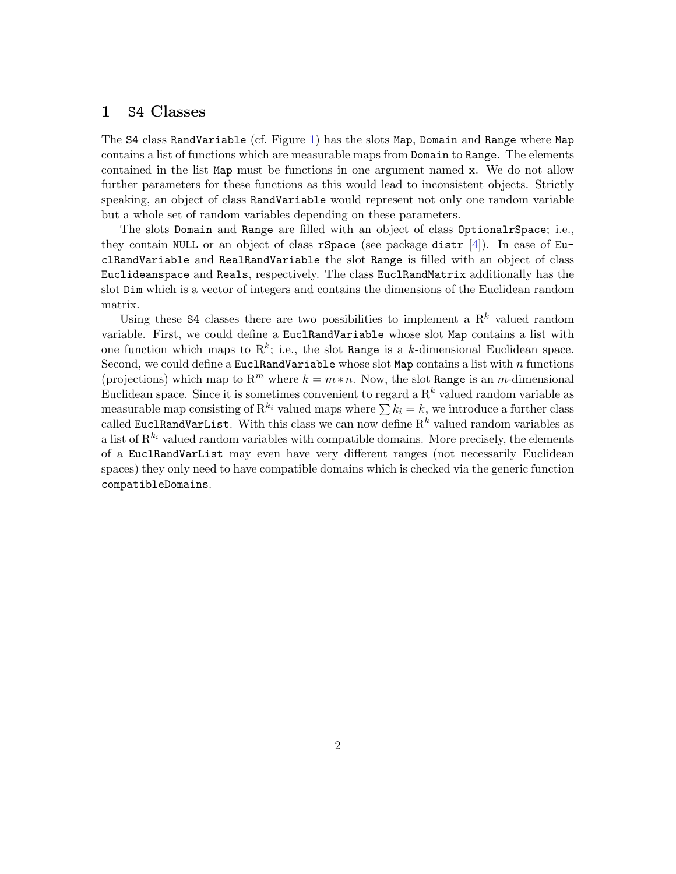#### <span id="page-1-1"></span><span id="page-1-0"></span>1 S4 Classes

The S4 class RandVariable (cf. Figure [1\)](#page-2-1) has the slots Map, Domain and Range where Map contains a list of functions which are measurable maps from Domain to Range. The elements contained in the list Map must be functions in one argument named x. We do not allow further parameters for these functions as this would lead to inconsistent objects. Strictly speaking, an object of class RandVariable would represent not only one random variable but a whole set of random variables depending on these parameters.

The slots Domain and Range are filled with an object of class OptionalrSpace; i.e., they contain NULL or an object of class rSpace (see package distr [\[4\]](#page-8-1)). In case of EuclRandVariable and RealRandVariable the slot Range is filled with an object of class Euclideanspace and Reals, respectively. The class EuclRandMatrix additionally has the slot Dim which is a vector of integers and contains the dimensions of the Euclidean random matrix.

Using these S4 classes there are two possibilities to implement a  $\mathbf{R}^k$  valued random variable. First, we could define a EuclRandVariable whose slot Map contains a list with one function which maps to  $\mathbb{R}^k$ ; i.e., the slot Range is a k-dimensional Euclidean space. Second, we could define a EuclRandVariable whose slot Map contains a list with  $n$  functions (projections) which map to R<sup>m</sup> where  $k = m * n$ . Now, the slot Range is an m-dimensional Euclidean space. Since it is sometimes convenient to regard a  $\mathbb{R}^k$  valued random variable as measurable map consisting of  $\mathbb{R}^{k_i}$  valued maps where  $\sum k_i = k$ , we introduce a further class called EuclRandVarList. With this class we can now define  $R^k$  valued random variables as a list of  $\mathbb{R}^{k_i}$  valued random variables with compatible domains. More precisely, the elements of a EuclRandVarList may even have very different ranges (not necessarily Euclidean spaces) they only need to have compatible domains which is checked via the generic function compatibleDomains.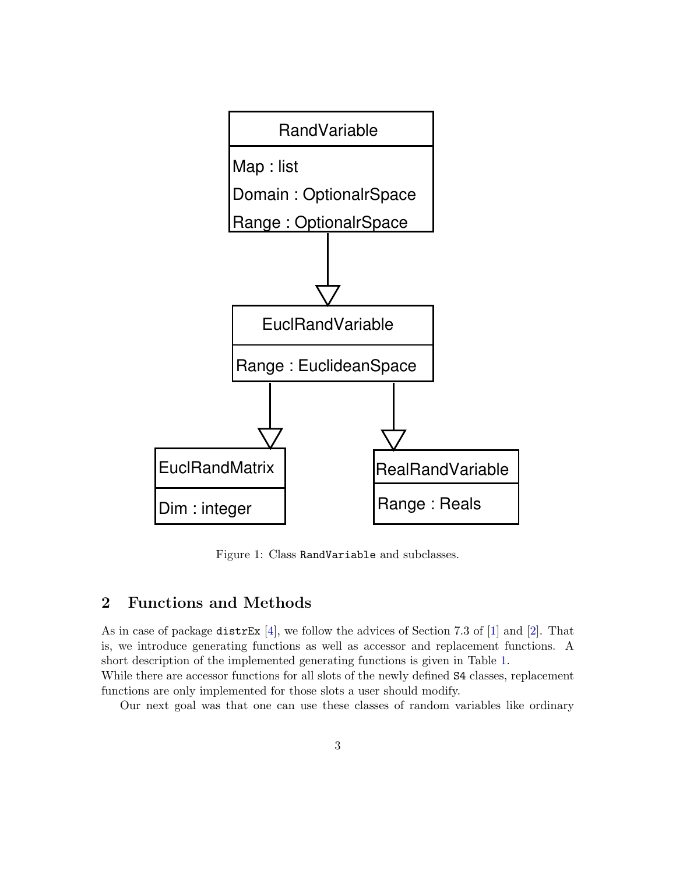<span id="page-2-2"></span>

<span id="page-2-1"></span>Figure 1: Class RandVariable and subclasses.

# <span id="page-2-0"></span>2 Functions and Methods

As in case of package distrEx  $[4]$ , we follow the advices of Section 7.3 of  $[1]$  and  $[2]$ . That is, we introduce generating functions as well as accessor and replacement functions. A short description of the implemented generating functions is given in Table [1.](#page-3-0)

While there are accessor functions for all slots of the newly defined S4 classes, replacement functions are only implemented for those slots a user should modify.

Our next goal was that one can use these classes of random variables like ordinary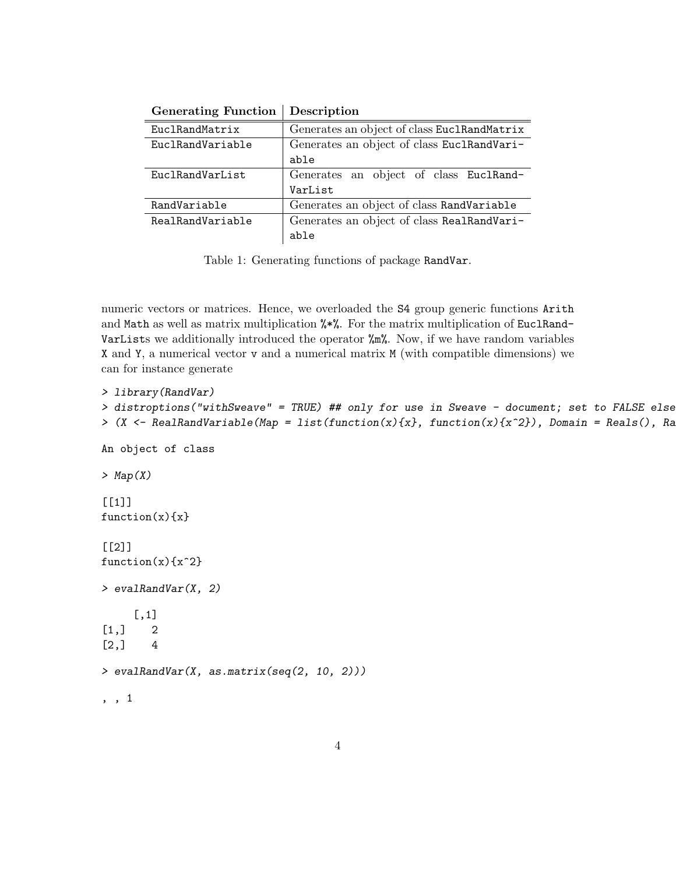| <b>Generating Function</b> | Description                                 |
|----------------------------|---------------------------------------------|
| EuclRandMatrix             | Generates an object of class EuclRandMatrix |
| EuclRandVariable           | Generates an object of class EuclRandVari-  |
|                            | able                                        |
| EuclRandVarList            | Generates an object of class EuclRand-      |
|                            | VarList                                     |
| RandVariable               | Generates an object of class RandVariable   |
| RealRandVariable           | Generates an object of class RealRandVari-  |
|                            | able                                        |

<span id="page-3-0"></span>Table 1: Generating functions of package RandVar.

numeric vectors or matrices. Hence, we overloaded the S4 group generic functions Arith and Math as well as matrix multiplication %\*%. For the matrix multiplication of EuclRand-VarLists we additionally introduced the operator %m%. Now, if we have random variables X and Y, a numerical vector v and a numerical matrix M (with compatible dimensions) we can for instance generate

```
> library(RandVar)
> distroptions("withSweave" = TRUE) ## only for use in Sweave - document; set to FALSE else!
> (X <- RealRandVariable(Map = list(function(x){x}, function(x){x^2}), Domain = Reals(), Ran
An object of class
> Map(X)
[1]]
function(x){x}
[[2]]
function(x){x^2}> evalRandVar(X, 2)
     [,1]
[1,] 2
[2,] 4> evalRandVar(X, as.matrix(seq(2, 10, 2)))
, , 1
```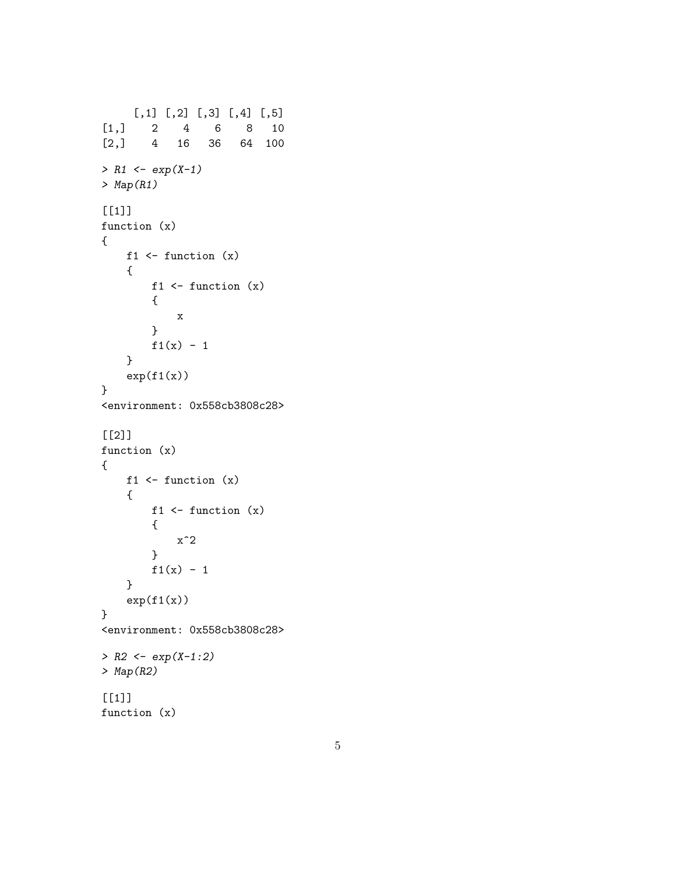```
[,1] [,2] [,3] [,4] [,5]
[1,] 2 4 6 8 10
[2,] 4 16 36 64 100
> R1 <- exp(X-1)
> Map(R1)
[1]]
function (x)
{
   f1 \leftarrow function (x){
        f1 \leftarrow function (x){
           x
        }
       f1(x) - 1}
   exp(f1(x))}
<environment: 0x558cb3808c28>
[2]]
function (x)
{
   f1 \leftarrow function (x){
        f1 \leftarrow function (x){
           x^2}
       f1(x) - 1}
   exp(f1(x))}
<environment: 0x558cb3808c28>
> R2 <- exp(X-1:2)
> Map(R2)
[[1]]
function (x)
```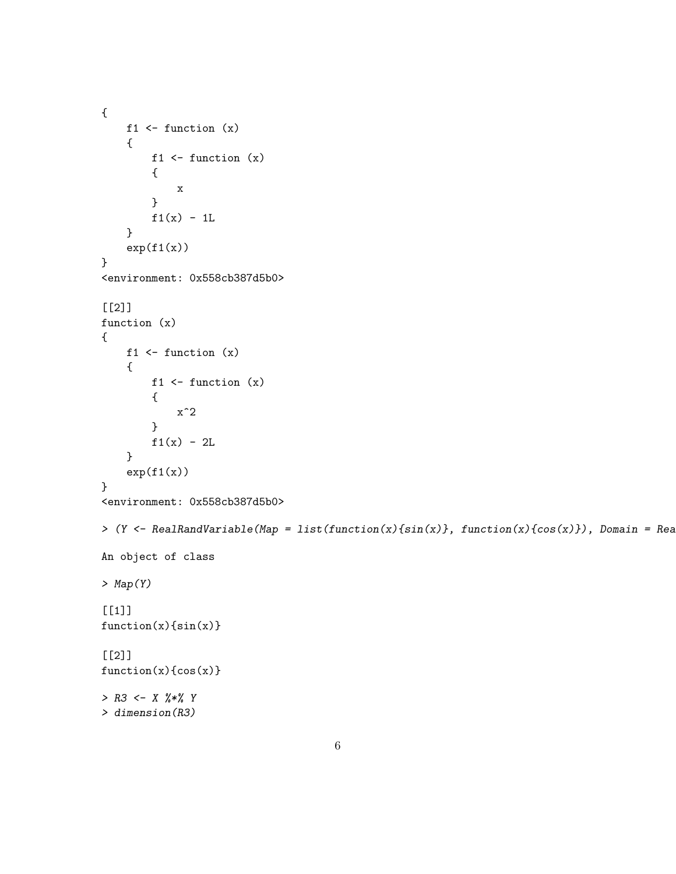```
{
    f1 \leftarrow function (x){
        f1 \leftarrow function (x){
             x
        }
        f1(x) - 1L}
    exp(f1(x))}
<environment: 0x558cb387d5b0>
[[2]]
function (x)
{
    f1 \leftarrow function (x){
        f1 \leftarrow function (x){
             x^2}
        f1(x) - 2L}
    exp(f1(x))}
<environment: 0x558cb387d5b0>
> (Y <- RealRandVariable(Map = list(function(x){sin(x)}, function(x){cos(x)}), Domain = Real
An object of class
> Map(Y)
[1]]
function(x)\{sin(x)\}\[2]]
function(x)\{cos(x)\}\> R3 <- X %*% Y
> dimension(R3)
```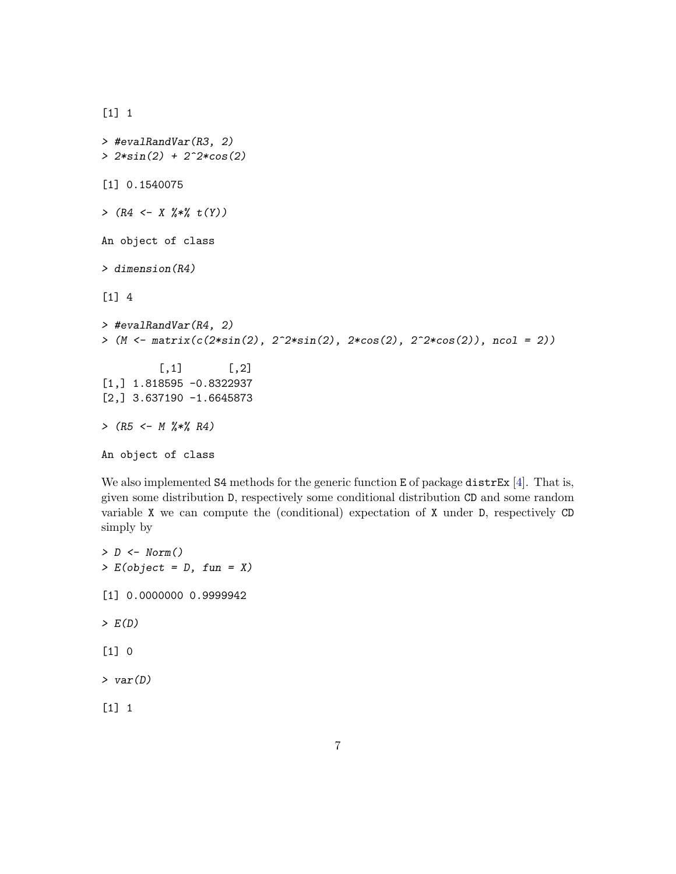```
[1] 1
> #evalRandVar(R3, 2)
> 2*sin(2) + 2^2*cos(2)
[1] 0.1540075
> (R4 <- X %*% t(Y))
An object of class
> dimension(R4)
[1] 4
> #evalRandVar(R4, 2)
> (M <- matrix(c(2*sin(2), 2^2*sin(2), 2*cos(2), 2^2*cos(2)), ncol = 2))
         [ ,1] [ ,2][1,] 1.818595 -0.8322937
[2,] 3.637190 -1.6645873
> (R5 <- M %*% R4)
An object of class
```
We also implemented S4 methods for the generic function E of package distrEx  $[4]$ . That is, given some distribution D, respectively some conditional distribution CD and some random variable X we can compute the (conditional) expectation of X under D, respectively CD simply by

```
> D <- Norm()
> E(object = D, fun = X)
[1] 0.0000000 0.9999942
> E(D)
[1] 0
> var(D)
[1] 1
```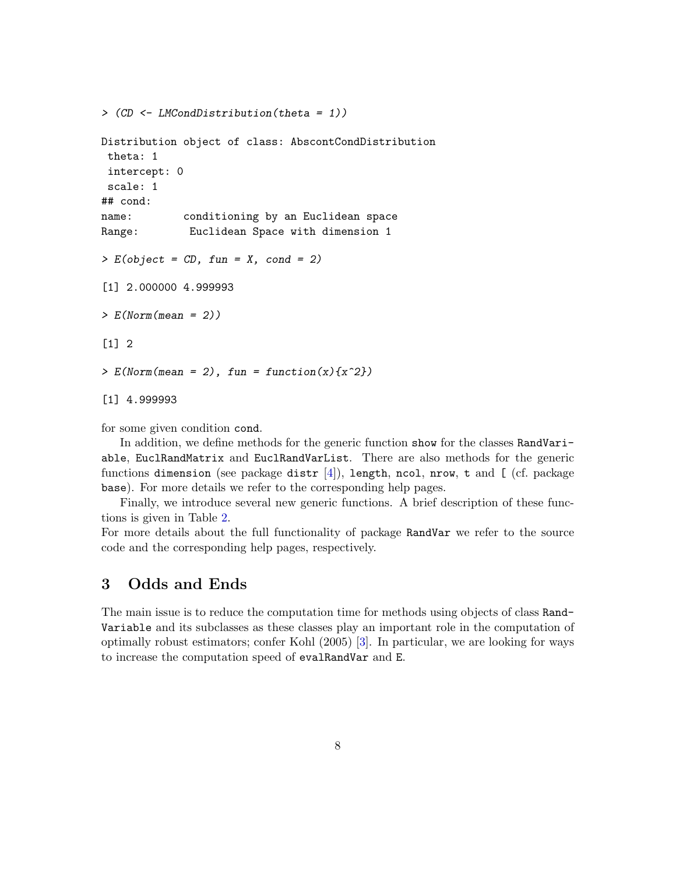<span id="page-7-1"></span>*> (CD <- LMCondDistribution(theta = 1))*

```
Distribution object of class: AbscontCondDistribution
 theta: 1
 intercept: 0
 scale: 1
## cond:
name: conditioning by an Euclidean space
Range: Euclidean Space with dimension 1
> E(object = CD, fun = X, cond = 2)
[1] 2.000000 4.999993
> E(Norm(mean = 2))
\lceil 1 \rceil 2
> E(Norm(mean = 2), fun = function(x){x^2})
[1] 4.999993
```
for some given condition cond.

In addition, we define methods for the generic function show for the classes RandVariable, EuclRandMatrix and EuclRandVarList. There are also methods for the generic functions dimension (see package distr [\[4\]](#page-8-1)), length, ncol, nrow, t and [ (cf. package base). For more details we refer to the corresponding help pages.

Finally, we introduce several new generic functions. A brief description of these functions is given in Table [2.](#page-8-4)

For more details about the full functionality of package RandVar we refer to the source code and the corresponding help pages, respectively.

# <span id="page-7-0"></span>3 Odds and Ends

The main issue is to reduce the computation time for methods using objects of class Rand-Variable and its subclasses as these classes play an important role in the computation of optimally robust estimators; confer Kohl (2005) [\[3\]](#page-8-0). In particular, we are looking for ways to increase the computation speed of evalRandVar and E.